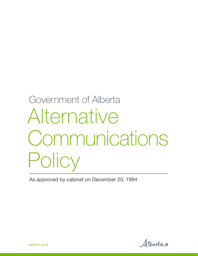# Government of Alberta Alternative **Communications** Policy

As approved by cabinet on December 20, 1994

Alberta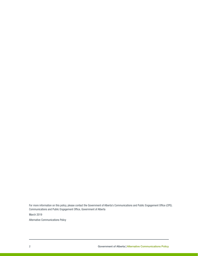For more information on this policy, please contact the Government of Alberta's Communications and Public Engagement Office (CPE). Communications and Public Engagement Office, Government of Alberta

March 2019

Alternative Communications Policy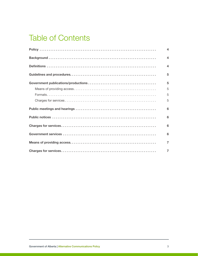# Table of Contents

| $\overline{\mathbf{4}}$ |
|-------------------------|
| $\overline{\mathbf{A}}$ |
| $\overline{\mathbf{A}}$ |
| 5                       |
| 5                       |
| 5                       |
| 5                       |
| 5                       |
| 6                       |
| 6                       |
| 6                       |
| 6                       |
| $\overline{7}$          |
| $\overline{7}$          |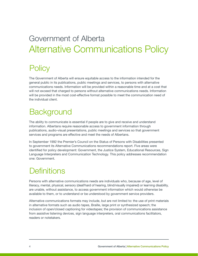# <span id="page-3-0"></span>Government of Alberta Alternative Communications Policy

# **Policy**

The Government of Alberta will ensure equitable access to the information intended for the general public in its publications, public meetings and services, to persons with alternative communications needs. Information will be provided within a reasonable time and at a cost that will not exceed that charged to persons without alternative communications needs. Information will be provided in the most cost-effective format possible to meet the communication need of the individual client.

# **Background**

The ability to communicate is essential if people are to give and receive and understand information. Albertans require reasonable access to government information through publications, audio-visual presentations, public meetings and services so that government services and programs are effective and meet the needs of Albertans.

In September 1992 the Premier's Council on the Status of Persons with Disabilities presented to government its Alternative Communications recommendations report. Five areas were identified for policy development: Government, the Justice System, Educational Resources, Sign Language Interpreters and Communication Technology. This policy addresses recommendation one: Government.

# **Definitions**

Persons with alternative communications needs are individuals who, because of age, level of literacy, mental, physical, sensory (deaf/hard of hearing, blind/visually impaired) or learning disability, are unable, without assistance, to access government information which would otherwise be available to them, or to understand or be understood by government service providers.

Alternative communications formats may include, but are not limited to: the use of print materials in alternative formats such as audio tapes, Braille, large print or synthesized speech; the inclusion of open/closed captioning for videotapes; the provision of communications assistance from assistive listening devices, sign language interpreters, oral communications facilitators, readers or notetakers.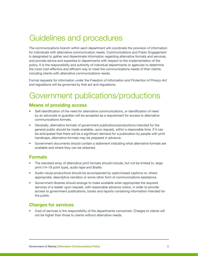# <span id="page-4-0"></span>Guidelines and procedures

The communications branch within each department will coordinate the provision of information for individuals with alternative communication needs. Communications and Public Engagement is designated to gather and disseminate information regarding alternative formats and services, and provide advice and expertise to departments with respect to the implementation of the policy. It is the responsibility and authority of individual departments or agencies to determine the most cost-effective and efficient way to meet the communications needs of their clients, including clients with alternative communications needs.

Formal requests for information under the *Freedom of Information and Protection of Privacy Act*  and regulations will be governed by that act and regulations.

# Government publications/productions

#### Means of providing access

- Self-identification of the need for alternative communications, or identification of need by an advocate or guardian will be accepted as a requirement for access to alternative communications formats.
- Generally, alternative formats of government publications/productions intended for the general public should be made available, upon request, within a reasonable time. If it can be anticipated that there will be a significant demand for a publication by people with print handicaps, alternative formats may be prepared in advance.
- Government documents should contain a statement indicating what alternative formats are available and where they can be obtained.

#### Formats

- The standard array of alternative print formats should include, but not be limited to, large print (14–18 point type), audio tape and Braille.
- Audio-visual productions should be accompanied by open/closed captions or, where appropriate, descriptive narration or some other form of communications assistance.
- Government libraries should arrange to make available when appropriate the required services of a reader upon request, with reasonable advance notice, in order to provide access to government publications, books and reports containing information intended for the public.

#### Charges for services

• Cost of services is the responsibility of the departments concerned. Charges to clients will not be higher than those to clients without alternative needs.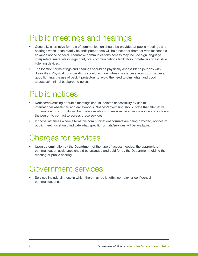# <span id="page-5-0"></span>Public meetings and hearings

- Generally, alternative formats of communication should be provided at public meetings and hearings when it can readily be anticipated there will be a need for them, or with reasonable advance notice of need. Alternative communications access may include sign language interpreters, materials in large print, oral communications facilitators, notetakers or assistive listening devices.
- The location for meetings and hearings should be physically accessible to persons with disabilities. Physical considerations should include: wheelchair access, washroom access, good lighting, the use of backlit projectors to avoid the need to dim lights, and good acoustics/minimal background noise.

# Public notices

- Notices/advertising of public meetings should indicate accessibility by use of international wheelchair and ear symbols. Notices/advertising should state that alternative communications formats will be made available with reasonable advance notice and indicate the person to contact to access those services.
- In those instances where alternative communications formats are being provided, notices of public meetings should indicate what specific formats/services will be available.

## Charges for services

• Upon determination by the Department of the type of access needed, the appropriate communication assistance should be arranged and paid for by the Department holding the meeting or public hearing.

## Government services

• Services include all those in which there may be lengthy, complex or confidential communications.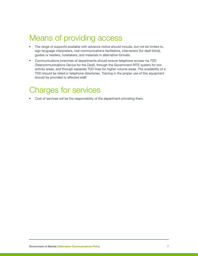# <span id="page-6-0"></span>Means of providing access

- The range of supports available with advance notice should include, but not be limited to, sign language interpreters, oral communications facilitators, interveners (for deaf-blind), guides or readers, notetakers, and materials in alternative formats.
- Communications branches of departments should ensure telephone access via TDD (Telecommunications Device for the Deaf), through the Government RITE system for low activity areas, and through separate TDD lines for higher volume areas. The availability of a TDD should be listed in telephone directories. Training in the proper use of this equipment should be provided to affected staff.

# Charges for services

• Cost of services will be the responsibility of the department providing them.